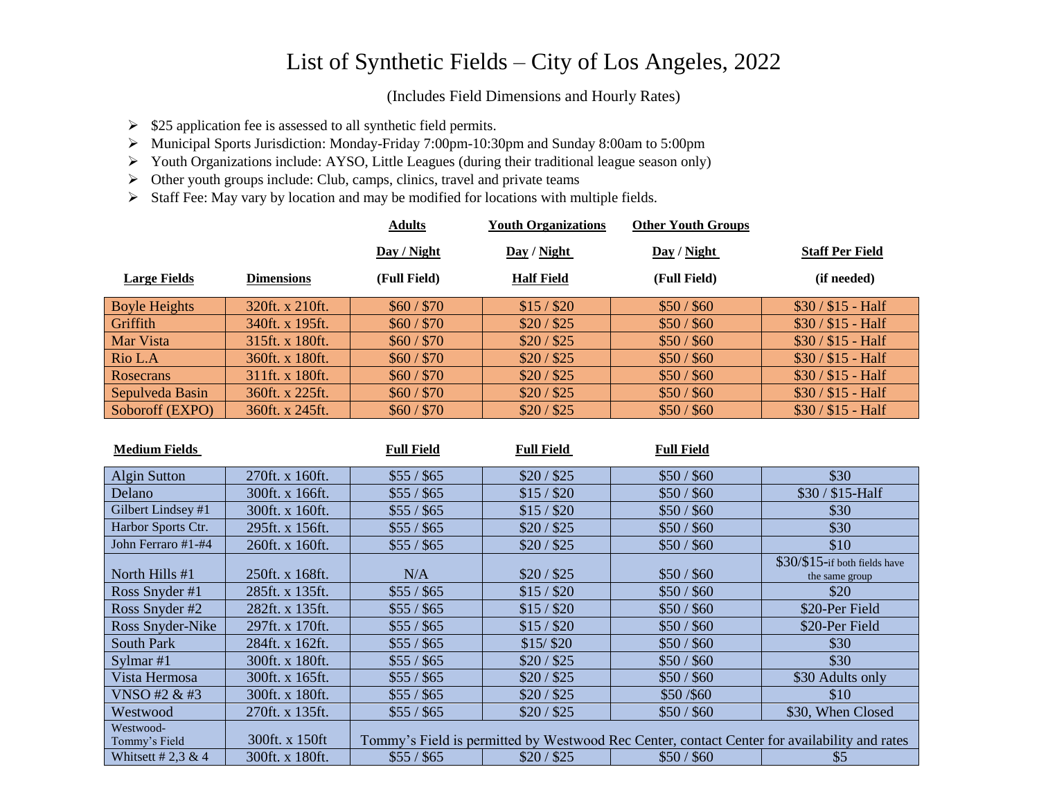## List of Synthetic Fields – City of Los Angeles, 2022

## (Includes Field Dimensions and Hourly Rates)

- ➢ \$25 application fee is assessed to all synthetic field permits.
- ➢ Municipal Sports Jurisdiction: Monday-Friday 7:00pm-10:30pm and Sunday 8:00am to 5:00pm
- ➢ Youth Organizations include: AYSO, Little Leagues (during their traditional league season only)
- $\triangleright$  Other youth groups include: Club, camps, clinics, travel and private teams
- ➢ Staff Fee: May vary by location and may be modified for locations with multiple fields.

|                      |                   | <b>Adults</b> | <b>Youth Organizations</b> | <b>Other Youth Groups</b> |                        |
|----------------------|-------------------|---------------|----------------------------|---------------------------|------------------------|
|                      |                   | Day / Night   | Day / Night                | Day / Night               | <b>Staff Per Field</b> |
| <b>Large Fields</b>  | <b>Dimensions</b> | (Full Field)  | <b>Half Field</b>          | (Full Field)              | (if needed)            |
| <b>Boyle Heights</b> | 320ft. x 210ft.   | \$60/\$70     | \$15/\$20                  | \$50/\$60                 | $$30 / $15 - Half$     |
| Griffith             | 340ft. x 195ft.   | \$60/\$70     | \$20/\$25                  | \$50/\$60                 | $$30 / $15$ - Half     |
| Mar Vista            | 315ft. x 180ft.   | \$60/\$70     | \$20/\$25                  | \$50/\$60                 | $$30 / $15 - Half$     |
| Rio L.A              | 360ft. x 180ft.   | \$60/\$70     | \$20/\$25                  | \$50/\$60                 | $$30 / $15 - Half$     |
| <b>Rosecrans</b>     | 311ft. x 180ft.   | \$60 / \$70   | \$20/\$25                  | \$50/\$60                 | $$30 / $15 - Half$     |
| Sepulveda Basin      | 360ft. x 225ft.   | \$60 / \$70   | \$20/\$25                  | \$50/\$60                 | $$30 / $15$ - Half     |
| Soboroff (EXPO)      | 360ft. x 245ft.   | \$60/\$70     | \$20/\$25                  | \$50/\$60                 | $$30 / $15 - Half$     |

| <b>Medium Fields</b>       |                 | <b>Full Field</b>                                                                            | <b>Full Field</b> | <b>Full Field</b> |                                                 |  |
|----------------------------|-----------------|----------------------------------------------------------------------------------------------|-------------------|-------------------|-------------------------------------------------|--|
| <b>Algin Sutton</b>        | 270ft. x 160ft. | \$55 / \$65                                                                                  | \$20/\$25         | \$50/\$60         | \$30                                            |  |
| Delano                     | 300ft. x 166ft. | \$55 / \$65                                                                                  | \$15/\$20         | \$50/\$60         | \$30 / \$15-Half                                |  |
| Gilbert Lindsey #1         | 300ft. x 160ft. | \$55 / \$65                                                                                  | \$15/\$20         | \$50/\$60         | \$30                                            |  |
| Harbor Sports Ctr.         | 295ft. x 156ft. | \$55 / \$65                                                                                  | \$20/\$25         | \$50/\$60         | \$30                                            |  |
| John Ferraro #1-#4         | 260ft. x 160ft. | \$55 / \$65                                                                                  | \$20/\$25         | \$50/\$60         | \$10                                            |  |
| North Hills #1             | 250ft. x 168ft. | N/A                                                                                          | \$20/\$25         | \$50/\$60         | \$30/\$15-if both fields have<br>the same group |  |
| Ross Snyder #1             | 285ft. x 135ft. | \$55 / \$65                                                                                  | \$15/\$20         | \$50/\$60         | \$20                                            |  |
| Ross Snyder #2             | 282ft. x 135ft. | \$55 / \$65                                                                                  | \$15/\$20         | \$50/\$60         | \$20-Per Field                                  |  |
| Ross Snyder-Nike           | 297ft. x 170ft. | \$55 / \$65                                                                                  | \$15/\$20         | \$50/\$60         | \$20-Per Field                                  |  |
| South Park                 | 284ft. x 162ft. | \$55 / \$65                                                                                  | $$15/$ \$20       | \$50/\$60         | \$30                                            |  |
| Sylmar $#1$                | 300ft. x 180ft. | \$55 / \$65                                                                                  | \$20 / \$25       | \$50/\$60         | \$30                                            |  |
| Vista Hermosa              | 300ft. x 165ft. | \$55 / \$65                                                                                  | \$20/\$25         | \$50/\$60         | \$30 Adults only                                |  |
| VNSO #2 & #3               | 300ft. x 180ft. | \$55 / \$65                                                                                  | \$20/\$25         | \$50/\$60         | \$10                                            |  |
| Westwood                   | 270ft. x 135ft. | \$55 / \$65                                                                                  | \$20/\$25         | \$50/\$60         | \$30, When Closed                               |  |
| Westwood-<br>Tommy's Field | 300ft. x 150ft  | Tommy's Field is permitted by Westwood Rec Center, contact Center for availability and rates |                   |                   |                                                 |  |
| Whitsett # 2,3 & 4         | 300ft. x 180ft. | \$55 / \$65                                                                                  | \$20/\$25         | \$50/\$60         | \$5                                             |  |